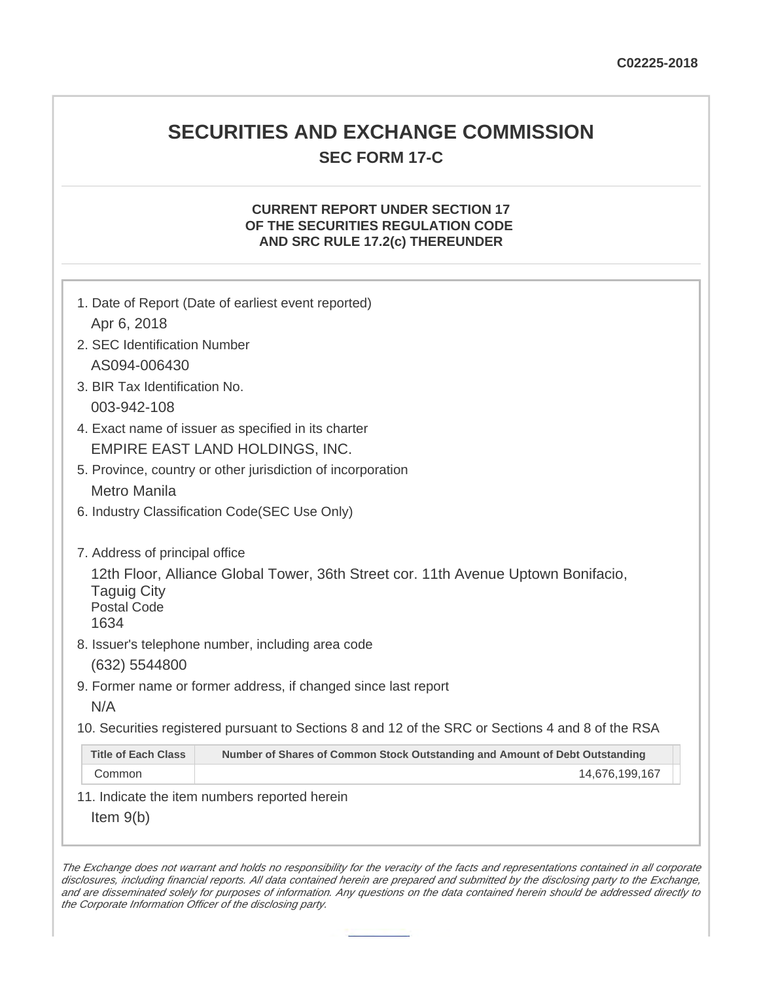## **SECURITIES AND EXCHANGE COMMISSION SEC FORM 17-C**

## **CURRENT REPORT UNDER SECTION 17 OF THE SECURITIES REGULATION CODE AND SRC RULE 17.2(c) THEREUNDER**

|                                                  | 1. Date of Report (Date of earliest event reported)                                               |
|--------------------------------------------------|---------------------------------------------------------------------------------------------------|
| Apr 6, 2018                                      |                                                                                                   |
| 2. SEC Identification Number                     |                                                                                                   |
| AS094-006430                                     |                                                                                                   |
| 3. BIR Tax Identification No.                    |                                                                                                   |
| 003-942-108                                      |                                                                                                   |
|                                                  | 4. Exact name of issuer as specified in its charter                                               |
|                                                  | EMPIRE EAST LAND HOLDINGS, INC.                                                                   |
|                                                  | 5. Province, country or other jurisdiction of incorporation                                       |
| <b>Metro Manila</b>                              |                                                                                                   |
|                                                  | 6. Industry Classification Code(SEC Use Only)                                                     |
|                                                  |                                                                                                   |
| 7. Address of principal office                   |                                                                                                   |
| <b>Taguig City</b><br><b>Postal Code</b><br>1634 | 12th Floor, Alliance Global Tower, 36th Street cor. 11th Avenue Uptown Bonifacio,                 |
|                                                  | 8. Issuer's telephone number, including area code                                                 |
| (632) 5544800                                    |                                                                                                   |
|                                                  | 9. Former name or former address, if changed since last report                                    |
| N/A                                              |                                                                                                   |
|                                                  | 10. Securities registered pursuant to Sections 8 and 12 of the SRC or Sections 4 and 8 of the RSA |
| <b>Title of Each Class</b>                       | Number of Shares of Common Stock Outstanding and Amount of Debt Outstanding                       |
| Common                                           | 14,676,199,167                                                                                    |
|                                                  | 11. Indicate the item numbers reported herein                                                     |
| Item $9(b)$                                      |                                                                                                   |

The Exchange does not warrant and holds no responsibility for the veracity of the facts and representations contained in all corporate disclosures, including financial reports. All data contained herein are prepared and submitted by the disclosing party to the Exchange, and are disseminated solely for purposes of information. Any questions on the data contained herein should be addressed directly to the Corporate Information Officer of the disclosing party.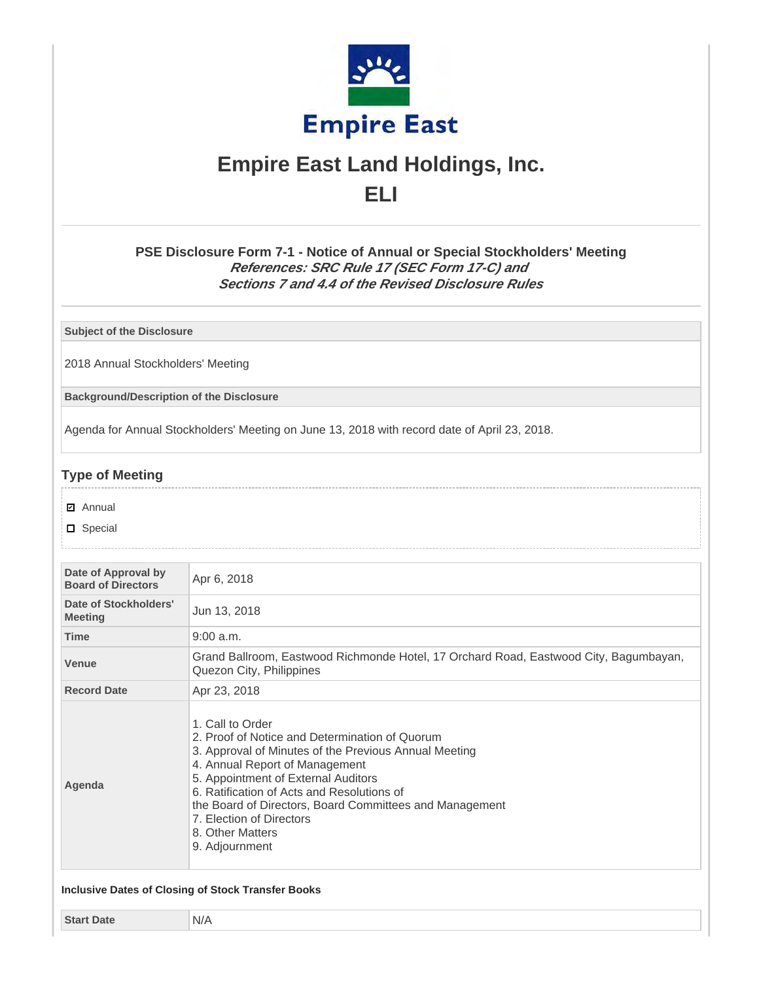

# **Empire East Land Holdings, Inc. ELI**

**PSE Disclosure Form 7-1 - Notice of Annual or Special Stockholders' Meeting References: SRC Rule 17 (SEC Form 17-C) and Sections 7 and 4.4 of the Revised Disclosure Rules**

**Subject of the Disclosure**

2018 Annual Stockholders' Meeting

**Background/Description of the Disclosure**

Agenda for Annual Stockholders' Meeting on June 13, 2018 with record date of April 23, 2018.

## **Type of Meeting**

- **☑** Annual
- D Special

| Date of Approval by<br><b>Board of Directors</b> | Apr 6, 2018                                                                                                                                                                                                                                                                                                                                                                     |  |  |
|--------------------------------------------------|---------------------------------------------------------------------------------------------------------------------------------------------------------------------------------------------------------------------------------------------------------------------------------------------------------------------------------------------------------------------------------|--|--|
| Date of Stockholders'<br><b>Meeting</b>          | Jun 13, 2018                                                                                                                                                                                                                                                                                                                                                                    |  |  |
| <b>Time</b>                                      | $9:00$ a.m.                                                                                                                                                                                                                                                                                                                                                                     |  |  |
| <b>Venue</b>                                     | Grand Ballroom, Eastwood Richmonde Hotel, 17 Orchard Road, Eastwood City, Bagumbayan,<br>Quezon City, Philippines                                                                                                                                                                                                                                                               |  |  |
| <b>Record Date</b>                               | Apr 23, 2018                                                                                                                                                                                                                                                                                                                                                                    |  |  |
| Agenda                                           | 1. Call to Order<br>2. Proof of Notice and Determination of Quorum<br>3. Approval of Minutes of the Previous Annual Meeting<br>4. Annual Report of Management<br>5. Appointment of External Auditors<br>6. Ratification of Acts and Resolutions of<br>the Board of Directors, Board Committees and Management<br>7. Election of Directors<br>8. Other Matters<br>9. Adjournment |  |  |

**Start Date** N/A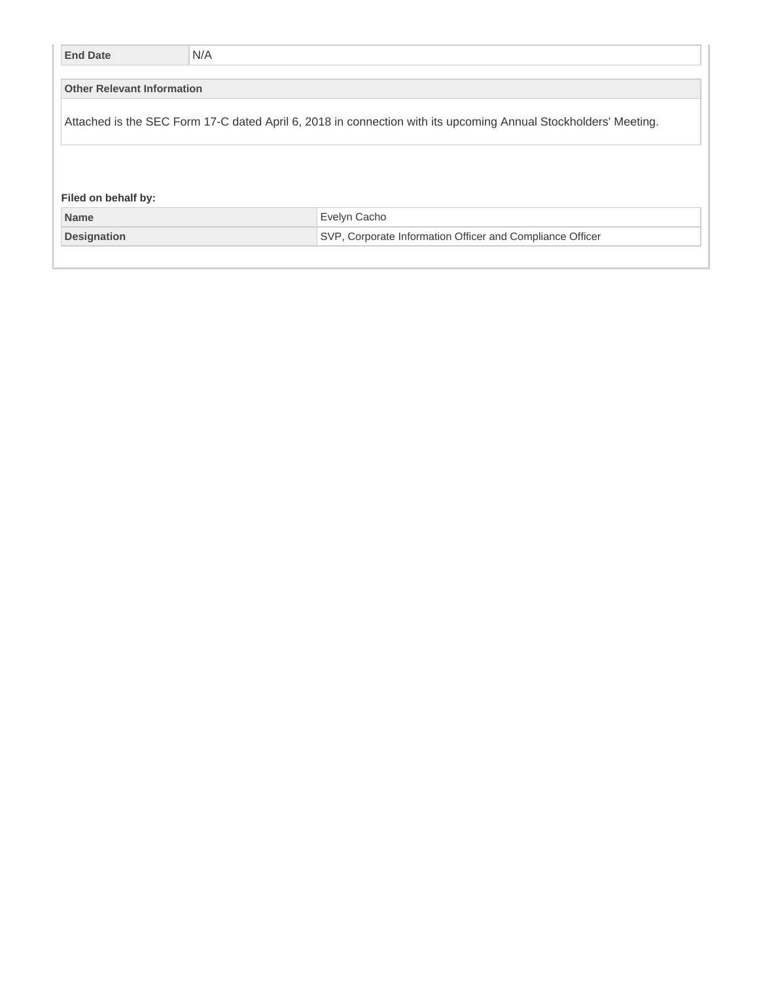| <b>End Date</b>                   | N/A |                                                                                                                 |  |  |
|-----------------------------------|-----|-----------------------------------------------------------------------------------------------------------------|--|--|
| <b>Other Relevant Information</b> |     |                                                                                                                 |  |  |
|                                   |     |                                                                                                                 |  |  |
|                                   |     | Attached is the SEC Form 17-C dated April 6, 2018 in connection with its upcoming Annual Stockholders' Meeting. |  |  |
|                                   |     |                                                                                                                 |  |  |
|                                   |     |                                                                                                                 |  |  |
| Filed on behalf by:               |     |                                                                                                                 |  |  |
|                                   |     |                                                                                                                 |  |  |
| <b>Name</b>                       |     | Evelyn Cacho                                                                                                    |  |  |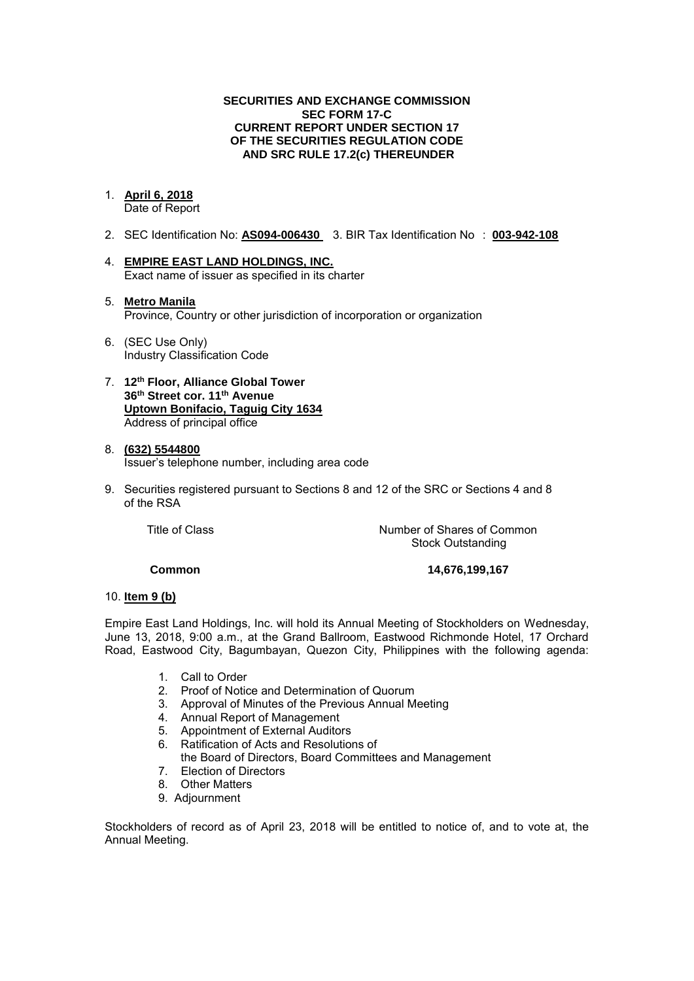#### **SECURITIES AND EXCHANGE COMMISSION SEC FORM 17-C CURRENT REPORT UNDER SECTION 17 OF THE SECURITIES REGULATION CODE AND SRC RULE 17.2(c) THEREUNDER**

## 1. **April 6, 2018**

Date of Report

- 2. SEC Identification No: **AS094-006430** 3. BIR Tax Identification No : **003-942-108**
- 4. **EMPIRE EAST LAND HOLDINGS, INC.**  Exact name of issuer as specified in its charter
- 5. **Metro Manila**  Province, Country or other jurisdiction of incorporation or organization
- 6. (SEC Use Only) Industry Classification Code
- 7. **12th Floor, Alliance Global Tower 36th Street cor. 11th Avenue Uptown Bonifacio, Taguig City 1634** Address of principal office

#### 8. **(632) 5544800**  Issuer's telephone number, including area code

9. Securities registered pursuant to Sections 8 and 12 of the SRC or Sections 4 and 8 of the RSA

Title of Class **Number of Shares of Common** Stock Outstanding

**Common 14,676,199,167** 

#### 10. **Item 9 (b)**

Empire East Land Holdings, Inc. will hold its Annual Meeting of Stockholders on Wednesday, June 13, 2018, 9:00 a.m., at the Grand Ballroom, Eastwood Richmonde Hotel, 17 Orchard Road, Eastwood City, Bagumbayan, Quezon City, Philippines with the following agenda:

- 1. Call to Order
- 2. Proof of Notice and Determination of Quorum
- 3. Approval of Minutes of the Previous Annual Meeting
- 4. Annual Report of Management
- 5. Appointment of External Auditors
- 6. Ratification of Acts and Resolutions of
- the Board of Directors, Board Committees and Management
- 7. Election of Directors
- 8. Other Matters
- 9. Adjournment

Stockholders of record as of April 23, 2018 will be entitled to notice of, and to vote at, the Annual Meeting.